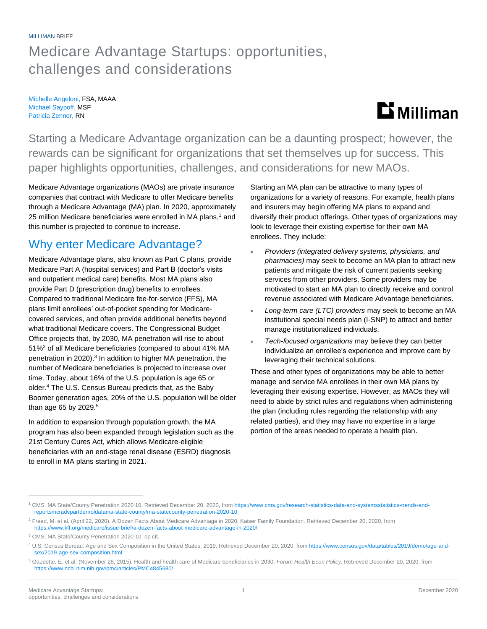## Medicare Advantage Startups: opportunities, challenges and considerations

Michelle Angeloni, FSA, MAAA Michael Saypoff, MSF Patricia Zenner, RN

# $\mathbf{D}$  Milliman

Starting a Medicare Advantage organization can be a daunting prospect; however, the rewards can be significant for organizations that set themselves up for success. This paper highlights opportunities, challenges, and considerations for new MAOs.

Medicare Advantage organizations (MAOs) are private insurance companies that contract with Medicare to offer Medicare benefits through a Medicare Advantage (MA) plan. In 2020, approximately 25 million Medicare beneficiaries were enrolled in MA plans,<sup>1</sup> and this number is projected to continue to increase.

### Why enter Medicare Advantage?

Medicare Advantage plans, also known as Part C plans, provide Medicare Part A (hospital services) and Part B (doctor's visits and outpatient medical care) benefits. Most MA plans also provide Part D (prescription drug) benefits to enrollees. Compared to traditional Medicare fee-for-service (FFS), MA plans limit enrollees' out-of-pocket spending for Medicarecovered services, and often provide additional benefits beyond what traditional Medicare covers. The Congressional Budget Office projects that, by 2030, MA penetration will rise to about 51%<sup>2</sup> of all Medicare beneficiaries (compared to about 41% MA penetration in 2020). 3 In addition to higher MA penetration, the number of Medicare beneficiaries is projected to increase over time. Today, about 16% of the U.S. population is age 65 or older. <sup>4</sup> The U.S. Census Bureau predicts that, as the Baby Boomer generation ages, 20% of the U.S. population will be older than age 65 by 2029.<sup>5</sup>

In addition to expansion through population growth, the MA program has also been expanded through legislation such as the 21st Century Cures Act, which allows Medicare-eligible beneficiaries with an end-stage renal disease (ESRD) diagnosis to enroll in MA plans starting in 2021.

Starting an MA plan can be attractive to many types of organizations for a variety of reasons. For example, health plans and insurers may begin offering MA plans to expand and diversify their product offerings. Other types of organizations may look to leverage their existing expertise for their own MA enrollees. They include:

- *Providers (integrated delivery systems, physicians, and pharmacies)* may seek to become an MA plan to attract new patients and mitigate the risk of current patients seeking services from other providers. Some providers may be motivated to start an MA plan to directly receive and control revenue associated with Medicare Advantage beneficiaries.
- *Long-term care (LTC) providers* may seek to become an MA institutional special needs plan (I-SNP) to attract and better manage institutionalized individuals.
- *Tech-focused organizations* may believe they can better individualize an enrollee's experience and improve care by leveraging their technical solutions.

These and other types of organizations may be able to better manage and service MA enrollees in their own MA plans by leveraging their existing expertise. However, as MAOs they will need to abide by strict rules and regulations when administering the plan (including rules regarding the relationship with any related parties), and they may have no expertise in a large portion of the areas needed to operate a health plan.

<sup>1</sup> CMS. MA State/County Penetration 2020 10. Retrieved December 20, 2020, from [https://www.cms.gov/research-statistics-data-and-systemsstatistics-trends-and](https://www.cms.gov/research-statistics-data-and-systemsstatistics-trends-and-reportsmcradvpartdenroldatama-state-county/ma-statecounty-penetration-2020-10)[reportsmcradvpartdenroldatama-state-county/ma-statecounty-penetration-2020-10.](https://www.cms.gov/research-statistics-data-and-systemsstatistics-trends-and-reportsmcradvpartdenroldatama-state-county/ma-statecounty-penetration-2020-10)

<sup>&</sup>lt;sup>2</sup> Freed, M. et al. (April 22, 2020). A Dozen Facts About Medicare Advantage in 2020. Kaiser Family Foundation. Retrieved December 20, 2020, from [https://www.kff.org/medicare/issue-brief/a-dozen-facts-about-medicare-advantage-in-2020/.](https://www.kff.org/medicare/issue-brief/a-dozen-facts-about-medicare-advantage-in-2020/)

<sup>3</sup> CMS, MA State/County Penetration 2020 10, op cit.

<sup>4</sup> U.S. Census Bureau. Age and Sex Composition in the United States: 2019. Retrieved December 20, 2020, fro[m https://www.census.gov/data/tables/2019/demo/age-and](https://www.census.gov/data/tables/2019/demo/age-and-sex/2019-age-sex-composition.html)[sex/2019-age-sex-composition.html.](https://www.census.gov/data/tables/2019/demo/age-and-sex/2019-age-sex-composition.html)

<sup>5</sup> Gaudette, E. et al. (November 28, 2015). Health and health care of Medicare beneficiaries in 2030. *Forum Health Econ Policy*. Retrieved December 20, 2020, from [https://www.ncbi.nlm.nih.gov/pmc/articles/PMC4845680/.](https://www.ncbi.nlm.nih.gov/pmc/articles/PMC4845680/)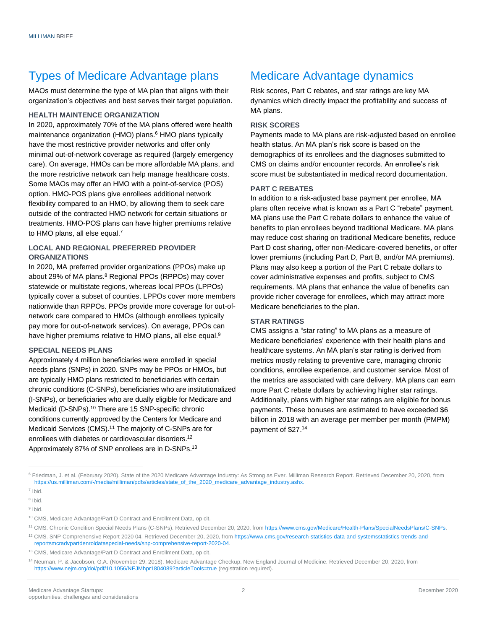### Types of Medicare Advantage plans

MAOs must determine the type of MA plan that aligns with their organization's objectives and best serves their target population.

#### **HEALTH MAINTENCE ORGANIZATION**

In 2020, approximately 70% of the MA plans offered were health maintenance organization (HMO) plans.<sup>6</sup> HMO plans typically have the most restrictive provider networks and offer only minimal out-of-network coverage as required (largely emergency care). On average, HMOs can be more affordable MA plans, and the more restrictive network can help manage healthcare costs. Some MAOs may offer an HMO with a point-of-service (POS) option. HMO-POS plans give enrollees additional network flexibility compared to an HMO, by allowing them to seek care outside of the contracted HMO network for certain situations or treatments. HMO-POS plans can have higher premiums relative to HMO plans, all else equal.<sup>7</sup>

### **LOCAL AND REGIONAL PREFERRED PROVIDER ORGANIZATIONS**

In 2020, MA preferred provider organizations (PPOs) make up about 29% of MA plans.<sup>8</sup> Regional PPOs (RPPOs) may cover statewide or multistate regions, whereas local PPOs (LPPOs) typically cover a subset of counties. LPPOs cover more members nationwide than RPPOs. PPOs provide more coverage for out-ofnetwork care compared to HMOs (although enrollees typically pay more for out-of-network services). On average, PPOs can have higher premiums relative to HMO plans, all else equal.<sup>9</sup>

#### **SPECIAL NEEDS PLANS**

Approximately 4 million beneficiaries were enrolled in special needs plans (SNPs) in 2020. SNPs may be PPOs or HMOs, but are typically HMO plans restricted to beneficiaries with certain chronic conditions (C-SNPs), beneficiaries who are institutionalized (I-SNPs), or beneficiaries who are dually eligible for Medicare and Medicaid (D-SNPs).<sup>10</sup> There are 15 SNP-specific chronic conditions currently approved by the Centers for Medicare and Medicaid Services (CMS).<sup>11</sup> The majority of C-SNPs are for enrollees with diabetes or cardiovascular disorders.<sup>12</sup> Approximately 87% of SNP enrollees are in D-SNPs.<sup>13</sup>

### Medicare Advantage dynamics

Risk scores, Part C rebates, and star ratings are key MA dynamics which directly impact the profitability and success of MA plans.

#### **RISK SCORES**

Payments made to MA plans are risk-adjusted based on enrollee health status. An MA plan's risk score is based on the demographics of its enrollees and the diagnoses submitted to CMS on claims and/or encounter records. An enrollee's risk score must be substantiated in medical record documentation.

#### **PART C REBATES**

In addition to a risk-adjusted base payment per enrollee, MA plans often receive what is known as a Part C "rebate" payment. MA plans use the Part C rebate dollars to enhance the value of benefits to plan enrollees beyond traditional Medicare. MA plans may reduce cost sharing on traditional Medicare benefits, reduce Part D cost sharing, offer non-Medicare-covered benefits, or offer lower premiums (including Part D, Part B, and/or MA premiums). Plans may also keep a portion of the Part C rebate dollars to cover administrative expenses and profits, subject to CMS requirements. MA plans that enhance the value of benefits can provide richer coverage for enrollees, which may attract more Medicare beneficiaries to the plan.

#### **STAR RATINGS**

CMS assigns a "star rating" to MA plans as a measure of Medicare beneficiaries' experience with their health plans and healthcare systems. An MA plan's star rating is derived from metrics mostly relating to preventive care, managing chronic conditions, enrollee experience, and customer service. Most of the metrics are associated with care delivery. MA plans can earn more Part C rebate dollars by achieving higher star ratings. Additionally, plans with higher star ratings are eligible for bonus payments. These bonuses are estimated to have exceeded \$6 billion in 2018 with an average per member per month (PMPM) payment of \$27.14

<sup>&</sup>lt;sup>6</sup> Friedman, J. et al. (February 2020). State of the 2020 Medicare Advantage Industry: As Strong as Ever. Milliman Research Report. Retrieved December 20, 2020, from [https://us.milliman.com/-/media/milliman/pdfs/articles/state\\_of\\_the\\_2020\\_medicare\\_advantage\\_industry.ashx.](https://us.milliman.com/-/media/milliman/pdfs/articles/state_of_the_2020_medicare_advantage_industry.ashx)

<sup>7</sup> Ibid.

<sup>8</sup> Ibid.

<sup>&</sup>lt;sup>9</sup> Ibid.

<sup>10</sup> CMS, Medicare Advantage/Part D Contract and Enrollment Data, op cit.

<sup>11</sup> CMS. Chronic Condition Special Needs Plans (C-SNPs). Retrieved December 20, 2020, fro[m https://www.cms.gov/Medicare/Health-Plans/SpecialNeedsPlans/C-SNPs.](https://www.cms.gov/Medicare/Health-Plans/SpecialNeedsPlans/C-SNPs)

<sup>12</sup> CMS. SNP Comprehensive Report 2020 04. Retrieved December 20, 2020, from [https://www.cms.gov/research-statistics-data-and-systemsstatistics-trends-and](https://www.cms.gov/research-statistics-data-and-systemsstatistics-trends-and-reportsmcradvpartdenroldataspecial-needs/snp-comprehensive-report-2020-04)[reportsmcradvpartdenroldataspecial-needs/snp-comprehensive-report-2020-04.](https://www.cms.gov/research-statistics-data-and-systemsstatistics-trends-and-reportsmcradvpartdenroldataspecial-needs/snp-comprehensive-report-2020-04)

<sup>13</sup> CMS, Medicare Advantage/Part D Contract and Enrollment Data, op cit.

<sup>14</sup> Neuman, P. & Jacobson, G.A. (November 29, 2018). Medicare Advantage Checkup. New England Journal of Medicine. Retrieved December 20, 2020, from [https://www.nejm.org/doi/pdf/10.1056/NEJMhpr1804089?articleTools=true](https://www.nejm.org/doi/pdf/10.1056/NEJMhpr1804089?articleTools=true%20) (registration required).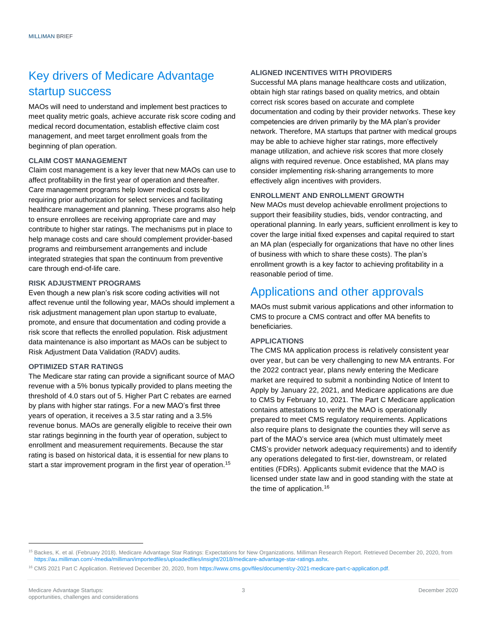### Key drivers of Medicare Advantage startup success

MAOs will need to understand and implement best practices to meet quality metric goals, achieve accurate risk score coding and medical record documentation, establish effective claim cost management, and meet target enrollment goals from the beginning of plan operation.

#### **CLAIM COST MANAGEMENT**

Claim cost management is a key lever that new MAOs can use to affect profitability in the first year of operation and thereafter. Care management programs help lower medical costs by requiring prior authorization for select services and facilitating healthcare management and planning. These programs also help to ensure enrollees are receiving appropriate care and may contribute to higher star ratings. The mechanisms put in place to help manage costs and care should complement provider-based programs and reimbursement arrangements and include integrated strategies that span the continuum from preventive care through end-of-life care.

#### **RISK ADJUSTMENT PROGRAMS**

Even though a new plan's risk score coding activities will not affect revenue until the following year, MAOs should implement a risk adjustment management plan upon startup to evaluate, promote, and ensure that documentation and coding provide a risk score that reflects the enrolled population. Risk adjustment data maintenance is also important as MAOs can be subject to Risk Adjustment Data Validation (RADV) audits.

#### **OPTIMIZED STAR RATINGS**

The Medicare star rating can provide a significant source of MAO revenue with a 5% bonus typically provided to plans meeting the threshold of 4.0 stars out of 5. Higher Part C rebates are earned by plans with higher star ratings. For a new MAO's first three years of operation, it receives a 3.5 star rating and a 3.5% revenue bonus. MAOs are generally eligible to receive their own star ratings beginning in the fourth year of operation, subject to enrollment and measurement requirements. Because the star rating is based on historical data, it is essential for new plans to start a star improvement program in the first year of operation.<sup>15</sup>

#### **ALIGNED INCENTIVES WITH PROVIDERS**

Successful MA plans manage healthcare costs and utilization, obtain high star ratings based on quality metrics, and obtain correct risk scores based on accurate and complete documentation and coding by their provider networks. These key competencies are driven primarily by the MA plan's provider network. Therefore, MA startups that partner with medical groups may be able to achieve higher star ratings, more effectively manage utilization, and achieve risk scores that more closely aligns with required revenue. Once established, MA plans may consider implementing risk-sharing arrangements to more effectively align incentives with providers.

#### **ENROLLMENT AND ENROLLMENT GROWTH**

New MAOs must develop achievable enrollment projections to support their feasibility studies, bids, vendor contracting, and operational planning. In early years, sufficient enrollment is key to cover the large initial fixed expenses and capital required to start an MA plan (especially for organizations that have no other lines of business with which to share these costs). The plan's enrollment growth is a key factor to achieving profitability in a reasonable period of time.

### Applications and other approvals

MAOs must submit various applications and other information to CMS to procure a CMS contract and offer MA benefits to beneficiaries.

#### **APPLICATIONS**

The CMS MA application process is relatively consistent year over year, but can be very challenging to new MA entrants. For the 2022 contract year, plans newly entering the Medicare market are required to submit a nonbinding Notice of Intent to Apply by January 22, 2021, and Medicare applications are due to CMS by February 10, 2021. The Part C Medicare application contains attestations to verify the MAO is operationally prepared to meet CMS regulatory requirements. Applications also require plans to designate the counties they will serve as part of the MAO's service area (which must ultimately meet CMS's provider network adequacy requirements) and to identify any operations delegated to first-tier, downstream, or related entities (FDRs). Applicants submit evidence that the MAO is licensed under state law and in good standing with the state at the time of application.<sup>16</sup>

<sup>15</sup> Backes, K. et al. (February 2018). Medicare Advantage Star Ratings: Expectations for New Organizations. Milliman Research Report. Retrieved December 20, 2020, from [https://au.milliman.com/-/media/milliman/importedfiles/uploadedfiles/insight/2018/medicare-advantage-star-ratings.ashx.](https://au.milliman.com/-/media/milliman/importedfiles/uploadedfiles/insight/2018/medicare-advantage-star-ratings.ashx)

<sup>16</sup> CMS 2021 Part C Application. Retrieved December 20, 2020, fro[m https://www.cms.gov/files/document/cy-2021-medicare-part-c-application.pdf.](https://www.cms.gov/files/document/cy-2021-medicare-part-c-application.pdf)